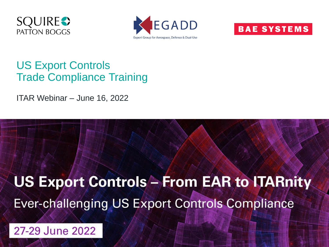





#### US Export Controls Trade Compliance Training

ITAR Webinar – June 16, 2022

# **US Export Controls - From EAR to ITARnity Ever-challenging US Export Controls Compliance**

27-29 June 2022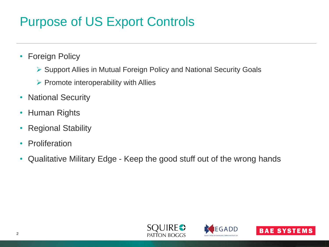## Purpose of US Export Controls

- Foreign Policy
	- ▶ Support Allies in Mutual Foreign Policy and National Security Goals
	- $\triangleright$  Promote interoperability with Allies
- National Security
- Human Rights
- Regional Stability
- Proliferation
- Qualitative Military Edge Keep the good stuff out of the wrong hands





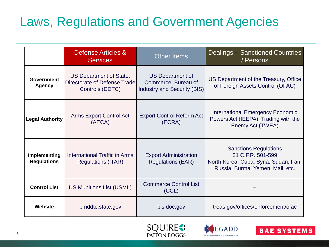# Laws, Regulations and Government Agencies

|                                    | Defense Articles &<br><b>Services</b>                                      | <b>Other Items</b>                                                            | <b>Dealings – Sanctioned Countries</b><br>/ Persons                                                                             |
|------------------------------------|----------------------------------------------------------------------------|-------------------------------------------------------------------------------|---------------------------------------------------------------------------------------------------------------------------------|
| Government<br><b>Agency</b>        | US Department of State,<br>Directorate of Defense Trade<br>Controls (DDTC) | US Department of<br>Commerce, Bureau of<br><b>Industry and Security (BIS)</b> | US Department of the Treasury, Office<br>of Foreign Assets Control (OFAC)                                                       |
| <b>Legal Authority</b>             | <b>Arms Export Control Act</b><br>(AECA)                                   | <b>Export Control Reform Act</b><br>(ECRA)                                    | International Emergency Economic<br>Powers Act (IEEPA), Trading with the<br>Enemy Act (TWEA)                                    |
| Implementing<br><b>Regulations</b> | International Traffic in Arms<br><b>Regulations (ITAR)</b>                 | <b>Export Administration</b><br><b>Regulations (EAR)</b>                      | <b>Sanctions Regulations</b><br>31 C.F.R. 501-599<br>North Korea, Cuba, Syria, Sudan, Iran,<br>Russia, Burma, Yemen, Mali, etc. |
| <b>Control List</b>                | <b>US Munitions List (USML)</b>                                            | <b>Commerce Control List</b><br>(CCL)                                         |                                                                                                                                 |
| Website                            | pmddtc.state.gov                                                           | bis.doc.gov                                                                   | treas.gov/offices/enforcement/ofac                                                                                              |





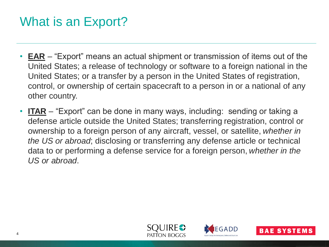#### What is an Export?

- **EAR** "Export" means an actual shipment or transmission of items out of the United States; a release of technology or software to a foreign national in the United States; or a transfer by a person in the United States of registration, control, or ownership of certain spacecraft to a person in or a national of any other country.
- **ITAR** "Export" can be done in many ways, including: sending or taking a defense article outside the United States; transferring registration, control or ownership to a foreign person of any aircraft, vessel, or satellite, *whether in the US or abroad*; disclosing or transferring any defense article or technical data to or performing a defense service for a foreign person, *whether in the US or abroad*.





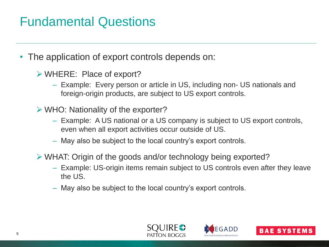#### Fundamental Questions

- The application of export controls depends on:
	- WHERE: Place of export?
		- Example: Every person or article in US, including non- US nationals and foreign-origin products, are subject to US export controls.
	- $\triangleright$  WHO: Nationality of the exporter?
		- Example: A US national or a US company is subject to US export controls, even when all export activities occur outside of US.
		- May also be subject to the local country's export controls.
	- WHAT: Origin of the goods and/or technology being exported?
		- Example: US-origin items remain subject to US controls even after they leave the US.
		- May also be subject to the local country's export controls.





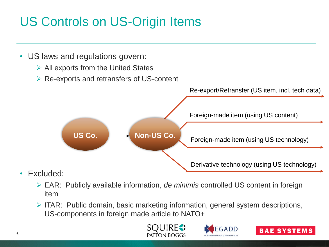# US Controls on US-Origin Items

- US laws and regulations govern:
	- $\triangleright$  All exports from the United States
	- ▶ Re-exports and retransfers of US-content



- Excluded:
	- EAR: Publicly available information, *de minimis* controlled US content in foreign item
	- $\triangleright$  ITAR: Public domain, basic marketing information, general system descriptions, US-components in foreign made article to NATO+





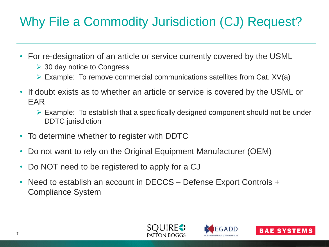# Why File a Commodity Jurisdiction (CJ) Request?

- For re-designation of an article or service currently covered by the USML
	- **▶ 30 day notice to Congress**
	- $\triangleright$  Example: To remove commercial communications satellites from Cat. XV(a)
- If doubt exists as to whether an article or service is covered by the USML or EAR
	- $\triangleright$  Example: To establish that a specifically designed component should not be under DDTC jurisdiction
- To determine whether to register with DDTC
- Do not want to rely on the Original Equipment Manufacturer (OEM)
- Do NOT need to be registered to apply for a CJ
- Need to establish an account in DECCS Defense Export Controls + Compliance System





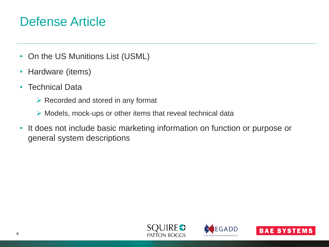#### Defense Article

- On the US Munitions List (USML)
- Hardware (items)
- Technical Data
	- $\triangleright$  Recorded and stored in any format
	- $\triangleright$  Models, mock-ups or other items that reveal technical data
- It does not include basic marketing information on function or purpose or general system descriptions





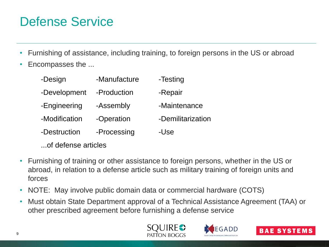# Defense Service

- Furnishing of assistance, including training, to foreign persons in the US or abroad
- Encompasses the ...

| -Design       | -Manufacture | -Testing          |
|---------------|--------------|-------------------|
| -Development  | -Production  | -Repair           |
| -Engineering  | -Assembly    | -Maintenance      |
| -Modification | -Operation   | -Demilitarization |
| -Destruction  | -Processing  | -Use              |
|               |              |                   |

- ...of defense articles
- Furnishing of training or other assistance to foreign persons, whether in the US or abroad, in relation to a defense article such as military training of foreign units and forces
- NOTE: May involve public domain data or commercial hardware (COTS)
- Must obtain State Department approval of a Technical Assistance Agreement (TAA) or other prescribed agreement before furnishing a defense service





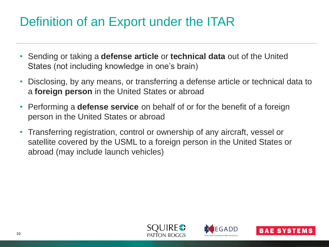# Definition of an Export under the ITAR

- Sending or taking a **defense article** or **technical data** out of the United States (not including knowledge in one's brain)
- Disclosing, by any means, or transferring a defense article or technical data to a **foreign person** in the United States or abroad
- Performing a **defense service** on behalf of or for the benefit of a foreign person in the United States or abroad
- Transferring registration, control or ownership of any aircraft, vessel or satellite covered by the USML to a foreign person in the United States or abroad (may include launch vehicles)





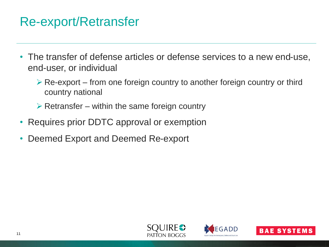#### Re-export/Retransfer

- The transfer of defense articles or defense services to a new end-use, end-user, or individual
	- $\triangleright$  Re-export from one foreign country to another foreign country or third country national
	- $\triangleright$  Retransfer within the same foreign country
- Requires prior DDTC approval or exemption
- Deemed Export and Deemed Re-export





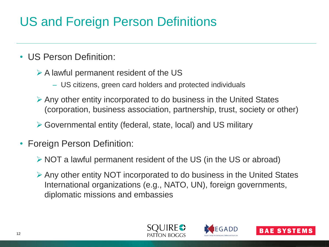# US and Foreign Person Definitions

- US Person Definition:
	- $\triangleright$  A lawful permanent resident of the US
		- US citizens, green card holders and protected individuals
	- Any other entity incorporated to do business in the United States (corporation, business association, partnership, trust, society or other)
	- Governmental entity (federal, state, local) and US military
- Foreign Person Definition:
	- $\triangleright$  NOT a lawful permanent resident of the US (in the US or abroad)
	- Any other entity NOT incorporated to do business in the United States International organizations (e.g., NATO, UN), foreign governments, diplomatic missions and embassies





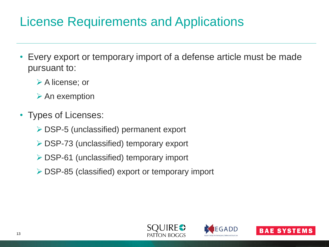#### License Requirements and Applications

- Every export or temporary import of a defense article must be made pursuant to:
	- **≻** A license; or
	- $\triangleright$  An exemption
- Types of Licenses:
	- DSP-5 (unclassified) permanent export
	- DSP-73 (unclassified) temporary export
	- DSP-61 (unclassified) temporary import
	- DSP-85 (classified) export or temporary import





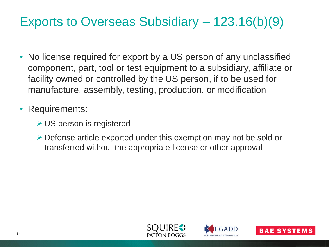# Exports to Overseas Subsidiary – 123.16(b)(9)

- No license required for export by a US person of any unclassified component, part, tool or test equipment to a subsidiary, affiliate or facility owned or controlled by the US person, if to be used for manufacture, assembly, testing, production, or modification
- Requirements:
	- US person is registered
	- Defense article exported under this exemption may not be sold or transferred without the appropriate license or other approval





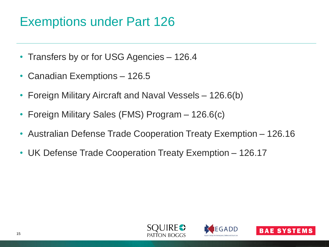#### Exemptions under Part 126

- Transfers by or for USG Agencies 126.4
- Canadian Exemptions 126.5
- Foreign Military Aircraft and Naval Vessels 126.6(b)
- Foreign Military Sales (FMS) Program 126.6(c)
- Australian Defense Trade Cooperation Treaty Exemption 126.16
- UK Defense Trade Cooperation Treaty Exemption 126.17





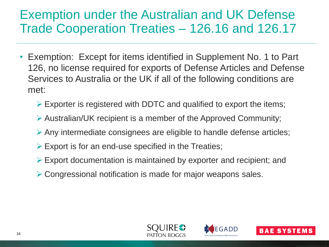#### Exemption under the Australian and UK Defense Trade Cooperation Treaties – 126.16 and 126.17

- Exemption: Except for items identified in Supplement No. 1 to Part 126, no license required for exports of Defense Articles and Defense Services to Australia or the UK if all of the following conditions are met:
	- $\triangleright$  Exporter is registered with DDTC and qualified to export the items;
	- Australian/UK recipient is a member of the Approved Community;
	- $\triangleright$  Any intermediate consignees are eligible to handle defense articles;
	- $\triangleright$  Export is for an end-use specified in the Treaties;
	- Export documentation is maintained by exporter and recipient; and
	- Congressional notification is made for major weapons sales.





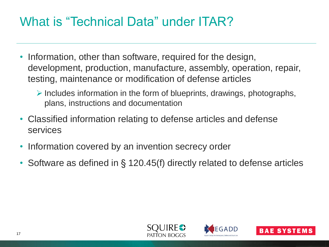### What is "Technical Data" under ITAR?

- Information, other than software, required for the design, development, production, manufacture, assembly, operation, repair, testing, maintenance or modification of defense articles
	- $\triangleright$  Includes information in the form of blueprints, drawings, photographs, plans, instructions and documentation
- Classified information relating to defense articles and defense services
- Information covered by an invention secrecy order
- Software as defined in § 120.45(f) directly related to defense articles





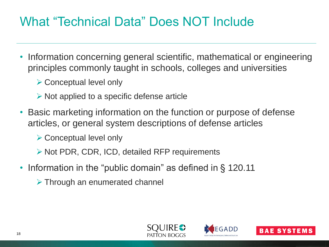## What "Technical Data" Does NOT Include

- Information concerning general scientific, mathematical or engineering principles commonly taught in schools, colleges and universities
	- Conceptual level only
	- $\triangleright$  Not applied to a specific defense article
- Basic marketing information on the function or purpose of defense articles, or general system descriptions of defense articles
	- Conceptual level only
	- $\triangleright$  Not PDR, CDR, ICD, detailed RFP requirements
- Information in the "public domain" as defined in § 120.11
	- > Through an enumerated channel





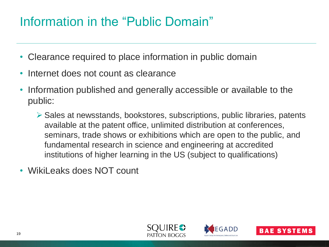### Information in the "Public Domain"

- Clearance required to place information in public domain
- Internet does not count as clearance
- Information published and generally accessible or available to the public:
	- $\triangleright$  Sales at newsstands, bookstores, subscriptions, public libraries, patents available at the patent office, unlimited distribution at conferences, seminars, trade shows or exhibitions which are open to the public, and fundamental research in science and engineering at accredited institutions of higher learning in the US (subject to qualifications)
- WikiLeaks does NOT count





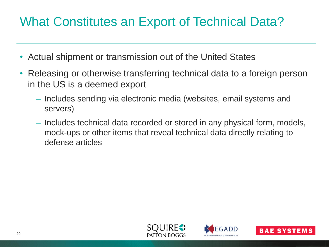# What Constitutes an Export of Technical Data?

- Actual shipment or transmission out of the United States
- Releasing or otherwise transferring technical data to a foreign person in the US is a deemed export
	- Includes sending via electronic media (websites, email systems and servers)
	- Includes technical data recorded or stored in any physical form, models, mock-ups or other items that reveal technical data directly relating to defense articles





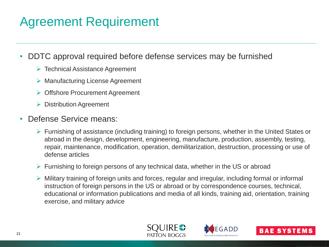# Agreement Requirement

- DDTC approval required before defense services may be furnished
	- $\triangleright$  Technical Assistance Agreement
	- ▶ Manufacturing License Agreement
	- **▶ Offshore Procurement Agreement**
	- Distribution Agreement
- Defense Service means:
	- $\triangleright$  Furnishing of assistance (including training) to foreign persons, whether in the United States or abroad in the design, development, engineering, manufacture, production, assembly, testing, repair, maintenance, modification, operation, demilitarization, destruction, processing or use of defense articles
	- $\triangleright$  Furnishing to foreign persons of any technical data, whether in the US or abroad
	- $\triangleright$  Military training of foreign units and forces, regular and irregular, including formal or informal instruction of foreign persons in the US or abroad or by correspondence courses, technical, educational or information publications and media of all kinds, training aid, orientation, training exercise, and military advice





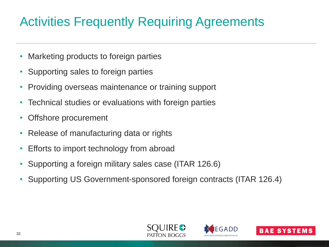# Activities Frequently Requiring Agreements

- Marketing products to foreign parties
- Supporting sales to foreign parties
- Providing overseas maintenance or training support
- Technical studies or evaluations with foreign parties
- Offshore procurement
- Release of manufacturing data or rights
- Efforts to import technology from abroad
- Supporting a foreign military sales case (ITAR 126.6)
- Supporting US Government-sponsored foreign contracts (ITAR 126.4)





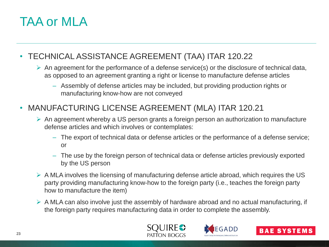### TAA or MLA

#### • TECHNICAL ASSISTANCE AGREEMENT (TAA) ITAR 120.22

- $\triangleright$  An agreement for the performance of a defense service(s) or the disclosure of technical data, as opposed to an agreement granting a right or license to manufacture defense articles
	- Assembly of defense articles may be included, but providing production rights or manufacturing know-how are not conveyed

#### • MANUFACTURING LICENSE AGREEMENT (MLA) ITAR 120.21

- $\triangleright$  An agreement whereby a US person grants a foreign person an authorization to manufacture defense articles and which involves or contemplates:
	- The export of technical data or defense articles or the performance of a defense service; or
	- The use by the foreign person of technical data or defense articles previously exported by the US person
- $\triangleright$  A MLA involves the licensing of manufacturing defense article abroad, which requires the US party providing manufacturing know-how to the foreign party (i.e., teaches the foreign party how to manufacture the item)
- $\triangleright$  A MLA can also involve just the assembly of hardware abroad and no actual manufacturing, if the foreign party requires manufacturing data in order to complete the assembly.





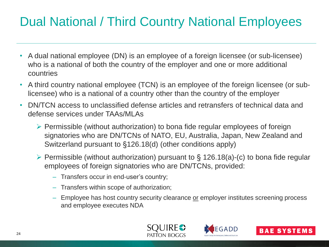# Dual National / Third Country National Employees

- A dual national employee (DN) is an employee of a foreign licensee (or sub-licensee) who is a national of both the country of the employer and one or more additional countries
- A third country national employee (TCN) is an employee of the foreign licensee (or sublicensee) who is a national of a country other than the country of the employer
- DN/TCN access to unclassified defense articles and retransfers of technical data and defense services under TAAs/MLAs
	- $\triangleright$  Permissible (without authorization) to bona fide regular employees of foreign signatories who are DN/TCNs of NATO, EU, Australia, Japan, New Zealand and Switzerland pursuant to §126.18(d) (other conditions apply)
	- $\triangleright$  Permissible (without authorization) pursuant to § 126.18(a)-(c) to bona fide regular employees of foreign signatories who are DN/TCNs, provided:
		- Transfers occur in end-user's country;
		- Transfers within scope of authorization;
		- Employee has host country security clearance or employer institutes screening process and employee executes NDA





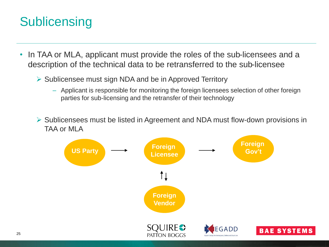## **Sublicensing**

- In TAA or MLA, applicant must provide the roles of the sub-licensees and a description of the technical data to be retransferred to the sub-licensee
	- $\triangleright$  Sublicensee must sign NDA and be in Approved Territory
		- Applicant is responsible for monitoring the foreign licensees selection of other foreign parties for sub-licensing and the retransfer of their technology
	- Sublicensees must be listed in Agreement and NDA must flow-down provisions in TAA or MLA

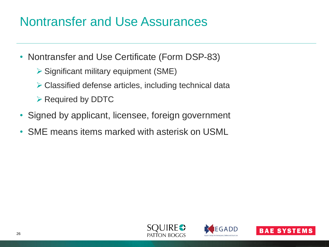#### Nontransfer and Use Assurances

- Nontransfer and Use Certificate (Form DSP-83)
	- $\triangleright$  Significant military equipment (SME)
	- Classified defense articles, including technical data
	- $\triangleright$  Required by DDTC
- Signed by applicant, licensee, foreign government
- SME means items marked with asterisk on USML





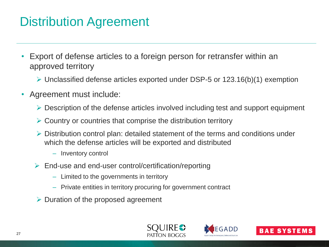### Distribution Agreement

- Export of defense articles to a foreign person for retransfer within an approved territory
	- Unclassified defense articles exported under DSP-5 or 123.16(b)(1) exemption
- Agreement must include:
	- Description of the defense articles involved including test and support equipment
	- $\triangleright$  Country or countries that comprise the distribution territory
	- Distribution control plan: detailed statement of the terms and conditions under which the defense articles will be exported and distributed
		- Inventory control
	- End-use and end-user control/certification/reporting
		- Limited to the governments in territory
		- Private entities in territory procuring for government contract
	- $\triangleright$  Duration of the proposed agreement





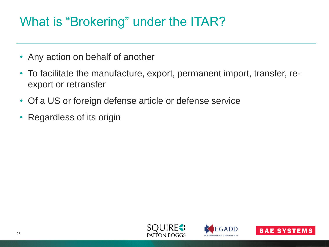### What is "Brokering" under the ITAR?

- Any action on behalf of another
- To facilitate the manufacture, export, permanent import, transfer, reexport or retransfer
- Of a US or foreign defense article or defense service
- Regardless of its origin





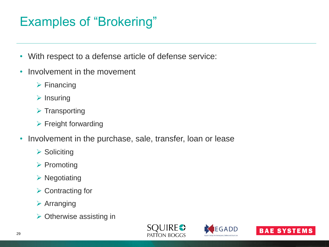# Examples of "Brokering"

- With respect to a defense article of defense service:
- Involvement in the movement
	- $\triangleright$  Financing
	- $\triangleright$  Insuring
	- $\triangleright$  Transporting
	- $\triangleright$  Freight forwarding
- Involvement in the purchase, sale, transfer, loan or lease
	- $\triangleright$  Soliciting
	- $\triangleright$  Promoting
	- $\triangleright$  Negotiating
	- **► Contracting for**
	- $\triangleright$  Arranging
	- $\triangleright$  Otherwise assisting in





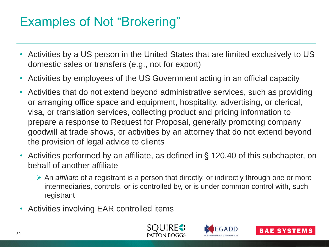# Examples of Not "Brokering"

- Activities by a US person in the United States that are limited exclusively to US domestic sales or transfers (e.g., not for export)
- Activities by employees of the US Government acting in an official capacity
- Activities that do not extend beyond administrative services, such as providing or arranging office space and equipment, hospitality, advertising, or clerical, visa, or translation services, collecting product and pricing information to prepare a response to Request for Proposal, generally promoting company goodwill at trade shows, or activities by an attorney that do not extend beyond the provision of legal advice to clients
- Activities performed by an affiliate, as defined in § 120.40 of this subchapter, on behalf of another affiliate
	- An *affiliate* of a registrant is a person that directly, or indirectly through one or more intermediaries, controls, or is controlled by, or is under common control with, such registrant
- Activities involving EAR controlled items





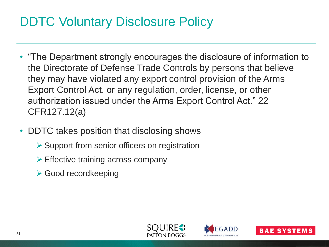# DDTC Voluntary Disclosure Policy

- "The Department strongly encourages the disclosure of information to the Directorate of Defense Trade Controls by persons that believe they may have violated any export control provision of the Arms Export Control Act, or any regulation, order, license, or other authorization issued under the Arms Export Control Act." 22 CFR127.12(a)
- DDTC takes position that disclosing shows
	- $\triangleright$  Support from senior officers on registration
	- $\triangleright$  Effective training across company
	- **≻ Good recordkeeping**





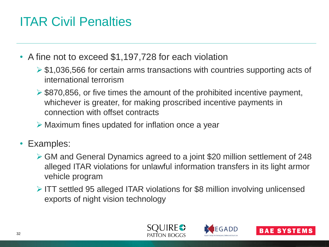# ITAR Civil Penalties

- A fine not to exceed \$1,197,728 for each violation
	- $\geq$  \$1,036,566 for certain arms transactions with countries supporting acts of international terrorism
	- $\triangleright$  \$870,856, or five times the amount of the prohibited incentive payment, whichever is greater, for making proscribed incentive payments in connection with offset contracts
	- $\triangleright$  Maximum fines updated for inflation once a year
- Examples:
	- GM and General Dynamics agreed to a joint \$20 million settlement of 248 alleged ITAR violations for unlawful information transfers in its light armor vehicle program
	- $\triangleright$  ITT settled 95 alleged ITAR violations for \$8 million involving unlicensed exports of night vision technology





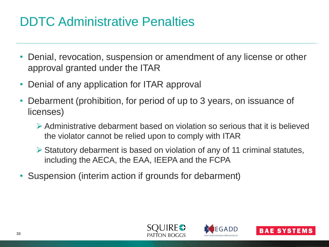### DDTC Administrative Penalties

- Denial, revocation, suspension or amendment of any license or other approval granted under the ITAR
- Denial of any application for ITAR approval
- Debarment (prohibition, for period of up to 3 years, on issuance of licenses)
	- Administrative debarment based on violation so serious that it is believed the violator cannot be relied upon to comply with ITAR
	- Statutory debarment is based on violation of any of 11 criminal statutes, including the AECA, the EAA, IEEPA and the FCPA
- Suspension (interim action if grounds for debarment)





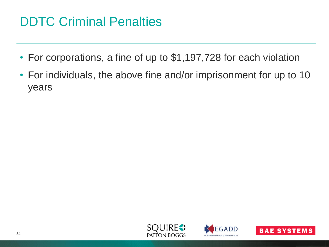# DDTC Criminal Penalties

- For corporations, a fine of up to \$1,197,728 for each violation
- For individuals, the above fine and/or imprisonment for up to 10 years





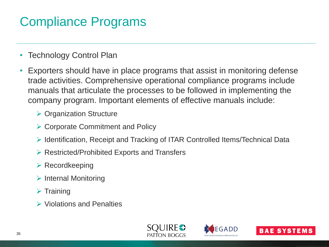# Compliance Programs

- Technology Control Plan
- Exporters should have in place programs that assist in monitoring defense trade activities. Comprehensive operational compliance programs include manuals that articulate the processes to be followed in implementing the company program. Important elements of effective manuals include:
	- **▶ Organization Structure**
	- ▶ Corporate Commitment and Policy
	- ▶ Identification, Receipt and Tracking of ITAR Controlled Items/Technical Data
	- **▶ Restricted/Prohibited Exports and Transfers**
	- $\triangleright$  Recordkeeping
	- $\triangleright$  Internal Monitoring
	- $\triangleright$  Training
	- **▶ Violations and Penalties**





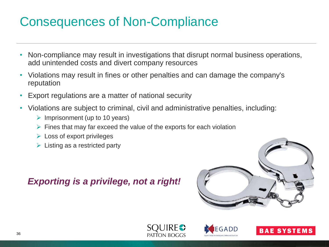# Consequences of Non-Compliance

- Non-compliance may result in investigations that disrupt normal business operations, add unintended costs and divert company resources
- Violations may result in fines or other penalties and can damage the company's reputation
- Export regulations are a matter of national security
- Violations are subject to criminal, civil and administrative penalties, including:
	- $\triangleright$  Imprisonment (up to 10 years)
	- $\triangleright$  Fines that may far exceed the value of the exports for each violation
	- $\triangleright$  Loss of export privileges
	- $\triangleright$  Listing as a restricted party

#### *Exporting is a privilege, not a right!*